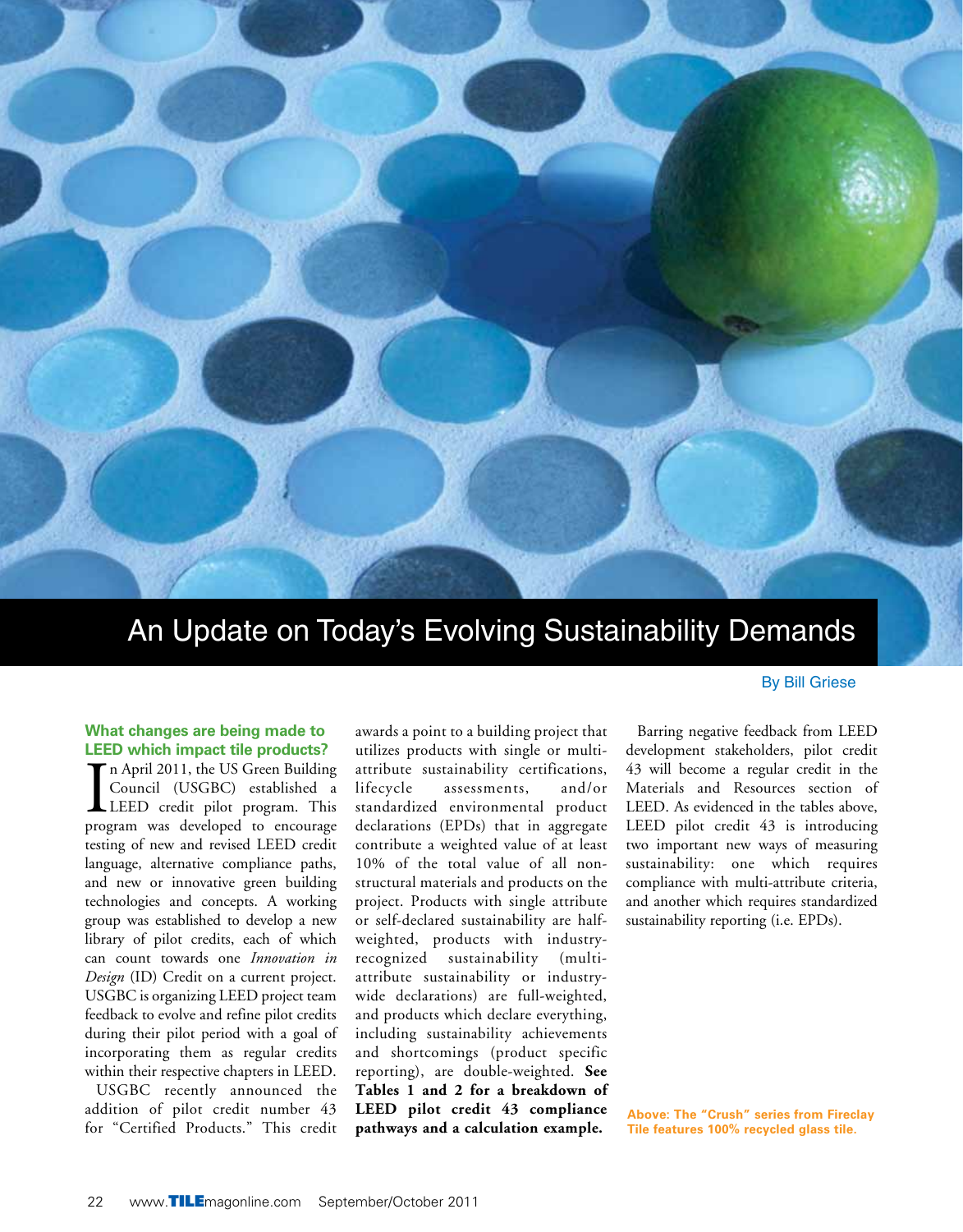

# An Update on Today's Evolving Sustainability Demands

### **What changes are being made to LEED which impact tile products?**

In April 2011, the US Green Building<br>
Council (USGBC) established a<br>
LEED credit pilot program. This<br>
program was developed to encourage n April 2011, the US Green Building Council (USGBC) established a LEED credit pilot program. This testing of new and revised LEED credit language, alternative compliance paths, and new or innovative green building technologies and concepts. A working group was established to develop a new library of pilot credits, each of which can count towards one *Innovation in Design* (ID) Credit on a current project. USGBC is organizing LEED project team feedback to evolve and refine pilot credits during their pilot period with a goal of incorporating them as regular credits within their respective chapters in LEED.

USGBC recently announced the addition of pilot credit number 43 for "Certified Products." This credit

awards a point to a building project that utilizes products with single or multiattribute sustainability certifications, lifecycle assessments, and/or standardized environmental product declarations (EPDs) that in aggregate contribute a weighted value of at least 10% of the total value of all nonstructural materials and products on the project. Products with single attribute or self-declared sustainability are halfweighted, products with industryrecognized sustainability (multiattribute sustainability or industrywide declarations) are full-weighted, and products which declare everything, including sustainability achievements and shortcomings (product specific reporting), are double-weighted. **See Tables 1 and 2 for a breakdown of LEED pilot credit 43 compliance pathways and a calculation example.**

#### By Bill Griese

Barring negative feedback from LEED development stakeholders, pilot credit 43 will become a regular credit in the Materials and Resources section of LEED. As evidenced in the tables above, LEED pilot credit 43 is introducing two important new ways of measuring sustainability: one which requires compliance with multi-attribute criteria, and another which requires standardized sustainability reporting (i.e. EPDs).

**Above: The "Crush" series from Fireclay Tile features 100% recycled glass tile.**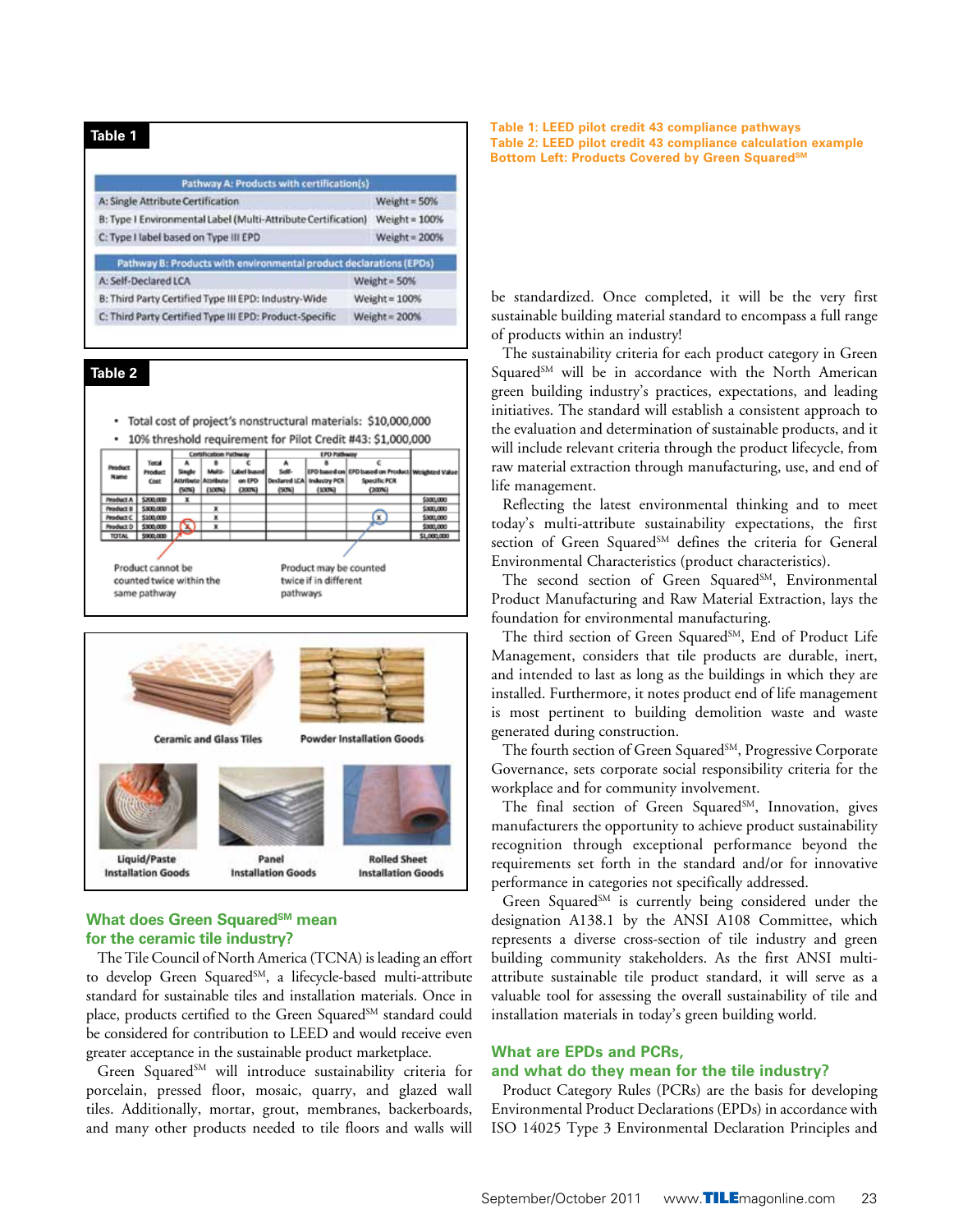| Pathway A: Products with certification(s)                          |                 |  |  |
|--------------------------------------------------------------------|-----------------|--|--|
| A: Single Attribute Certification                                  | Weight = $50%$  |  |  |
| B: Type I Environmental Label (Multi-Attribute Certification)      | Weight = $100%$ |  |  |
| C: Type I label based on Type III EPD                              | Weight = 200%   |  |  |
| Pathway B: Products with environmental product declarations (EPDs) |                 |  |  |
| A: Self-Declared LCA                                               | Weight = 50%    |  |  |
| B: Third Party Certified Type III EPD: Industry-Wide               | Weight = $100%$ |  |  |
| C: Third Party Certified Type III EPD; Product-Specific            | Weight $= 200%$ |  |  |

## **Table 2**

· Total cost of project's nonstructural materials: \$10,000,000 \* 10% threshold requirement for Pilot Credit #43: \$1,000,000

| <b>Peoduct</b>           | Total          | <b>Cortafication Pathway</b> |           |                        | <b>LPD Pathway</b>        |        |                                                   |             |
|--------------------------|----------------|------------------------------|-----------|------------------------|---------------------------|--------|---------------------------------------------------|-------------|
|                          |                | А                            | ٠         |                        | ٠                         |        |                                                   |             |
| Name                     | <b>Product</b> |                              | Multi-    | Label based            | Solid                     |        | EPO based on EPD based on Products Weighted Value |             |
|                          | Cost           | <b>Attributo</b>             | Attribute | on EPD                 | Declared LCA Industry PCR |        | Specific PCR                                      |             |
|                          |                | (SCN)                        | (100%)    | (200%                  | (50%)                     | (100%) | (200%                                             |             |
| Product A                | \$200,000      | $\mathbf x$                  |           |                        |                           |        |                                                   | \$300,000   |
| <b>Peoduct B</b>         | \$300,000      |                              | ×         |                        |                           |        |                                                   | \$300,000   |
| Peoduct C                | \$100,000      |                              | ×         |                        |                           |        | ©                                                 | \$300,000   |
| Peoduct D                | \$300,000      | $\infty$                     | ×         |                        |                           |        |                                                   | \$300,000   |
| <b>TOTAL</b>             | \$900,000      |                              |           |                        |                           |        |                                                   | \$1,000,000 |
|                          |                |                              |           |                        |                           |        |                                                   |             |
| Product cannot be        |                |                              |           | Product may be counted |                           |        |                                                   |             |
| counted twice within the |                |                              |           | twice if in different  |                           |        |                                                   |             |
| same pathway             |                |                              |           | pathways               |                           |        |                                                   |             |

pathways



### **What does Green Squared**SM mean **for the ceramic tile industry?**

The Tile Council of North America (TCNA) is leading an effort to develop Green Squared<sup>SM</sup>, a lifecycle-based multi-attribute standard for sustainable tiles and installation materials. Once in place, products certified to the Green Squared<sup>SM</sup> standard could be considered for contribution to LEED and would receive even greater acceptance in the sustainable product marketplace.

Green Squared<sup>SM</sup> will introduce sustainability criteria for porcelain, pressed floor, mosaic, quarry, and glazed wall tiles. Additionally, mortar, grout, membranes, backerboards, and many other products needed to tile floors and walls will

**Table 1: LEED pilot credit 43 compliance pathways Table 2: LEED pilot credit 43 compliance calculation example** Bottom Left: Products Covered by Green Squared<sup>sM</sup>

be standardized. Once completed, it will be the very first sustainable building material standard to encompass a full range of products within an industry!

The sustainability criteria for each product category in Green Squared<sup>SM</sup> will be in accordance with the North American green building industry's practices, expectations, and leading initiatives. The standard will establish a consistent approach to the evaluation and determination of sustainable products, and it will include relevant criteria through the product lifecycle, from raw material extraction through manufacturing, use, and end of life management.

Reflecting the latest environmental thinking and to meet today's multi-attribute sustainability expectations, the first section of Green Squared<sup>SM</sup> defines the criteria for General Environmental Characteristics (product characteristics).

The second section of Green Squared<sup>SM</sup>, Environmental Product Manufacturing and Raw Material Extraction, lays the foundation for environmental manufacturing.

The third section of Green Squared<sup>SM</sup>, End of Product Life Management, considers that tile products are durable, inert, and intended to last as long as the buildings in which they are installed. Furthermore, it notes product end of life management is most pertinent to building demolition waste and waste generated during construction.

The fourth section of Green Squared<sup>SM</sup>, Progressive Corporate Governance, sets corporate social responsibility criteria for the workplace and for community involvement.

The final section of Green Squared<sup>SM</sup>, Innovation, gives manufacturers the opportunity to achieve product sustainability recognition through exceptional performance beyond the requirements set forth in the standard and/or for innovative performance in categories not specifically addressed.

Green Squared<sup>SM</sup> is currently being considered under the designation A138.1 by the ANSI A108 Committee, which represents a diverse cross-section of tile industry and green building community stakeholders. As the first ANSI multiattribute sustainable tile product standard, it will serve as a valuable tool for assessing the overall sustainability of tile and installation materials in today's green building world.

# **What are EPDs and PCRs,**

#### **and what do they mean for the tile industry?**

Product Category Rules (PCRs) are the basis for developing Environmental Product Declarations (EPDs) in accordance with ISO 14025 Type 3 Environmental Declaration Principles and